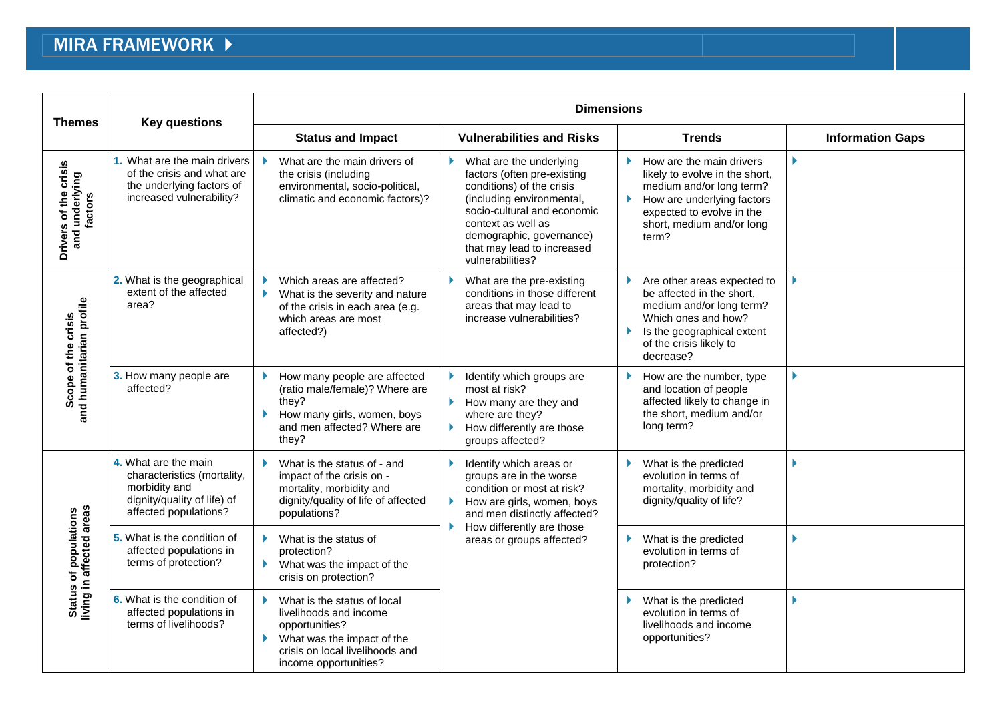## MIRA FRAMEWORK  $\blacktriangleright$

| <b>Themes</b>                                      | <b>Key questions</b>                                                                                                         | <b>Dimensions</b>                                                                                                                                                       |                                                                                                                                                                                                                                                     |                                                                                                                                                                                               |                         |  |
|----------------------------------------------------|------------------------------------------------------------------------------------------------------------------------------|-------------------------------------------------------------------------------------------------------------------------------------------------------------------------|-----------------------------------------------------------------------------------------------------------------------------------------------------------------------------------------------------------------------------------------------------|-----------------------------------------------------------------------------------------------------------------------------------------------------------------------------------------------|-------------------------|--|
|                                                    |                                                                                                                              | <b>Status and Impact</b>                                                                                                                                                | <b>Vulnerabilities and Risks</b>                                                                                                                                                                                                                    | <b>Trends</b>                                                                                                                                                                                 | <b>Information Gaps</b> |  |
| Drivers of the crisis<br>and underlying<br>factors | 1. What are the main drivers<br>of the crisis and what are<br>the underlying factors of<br>increased vulnerability?          | What are the main drivers of<br>the crisis (including<br>environmental, socio-political,<br>climatic and economic factors)?                                             | What are the underlying<br>factors (often pre-existing<br>conditions) of the crisis<br>(including environmental,<br>socio-cultural and economic<br>context as well as<br>demographic, governance)<br>that may lead to increased<br>vulnerabilities? | How are the main drivers<br>Þ.<br>likely to evolve in the short,<br>medium and/or long term?<br>How are underlying factors<br>expected to evolve in the<br>short, medium and/or long<br>term? |                         |  |
| Scope of the crisis<br>and humanitarian profile    | 2. What is the geographical<br>extent of the affected<br>area?                                                               | Which areas are affected?<br>What is the severity and nature<br>of the crisis in each area (e.g.<br>which areas are most<br>affected?)                                  | What are the pre-existing<br>conditions in those different<br>areas that may lead to<br>increase vulnerabilities?                                                                                                                                   | Are other areas expected to<br>be affected in the short,<br>medium and/or long term?<br>Which ones and how?<br>Is the geographical extent<br>of the crisis likely to<br>decrease?             |                         |  |
|                                                    | 3. How many people are<br>affected?                                                                                          | How many people are affected<br>(ratio male/female)? Where are<br>they?<br>How many girls, women, boys<br>and men affected? Where are<br>they?                          | Identify which groups are<br>most at risk?<br>How many are they and<br>Þ.<br>where are they?<br>How differently are those<br>groups affected?                                                                                                       | How are the number, type<br>and location of people<br>affected likely to change in<br>the short, medium and/or<br>long term?                                                                  |                         |  |
| Status of populations<br>living in affected areas  | 4. What are the main<br>characteristics (mortality,<br>morbidity and<br>dignity/quality of life) of<br>affected populations? | What is the status of - and<br>impact of the crisis on -<br>mortality, morbidity and<br>dignity/quality of life of affected<br>populations?                             | Identify which areas or<br>groups are in the worse<br>condition or most at risk?<br>How are girls, women, boys<br>Þ.<br>and men distinctly affected?<br>How differently are those<br>areas or groups affected?                                      | What is the predicted<br>evolution in terms of<br>mortality, morbidity and<br>dignity/quality of life?                                                                                        |                         |  |
|                                                    | 5. What is the condition of<br>affected populations in<br>terms of protection?                                               | What is the status of<br>protection?<br>What was the impact of the<br>Þ.<br>crisis on protection?                                                                       |                                                                                                                                                                                                                                                     | What is the predicted<br>evolution in terms of<br>protection?                                                                                                                                 |                         |  |
|                                                    | 6. What is the condition of<br>affected populations in<br>terms of livelihoods?                                              | What is the status of local<br>livelihoods and income<br>opportunities?<br>What was the impact of the<br>Þ.<br>crisis on local livelihoods and<br>income opportunities? |                                                                                                                                                                                                                                                     | What is the predicted<br>evolution in terms of<br>livelihoods and income<br>opportunities?                                                                                                    |                         |  |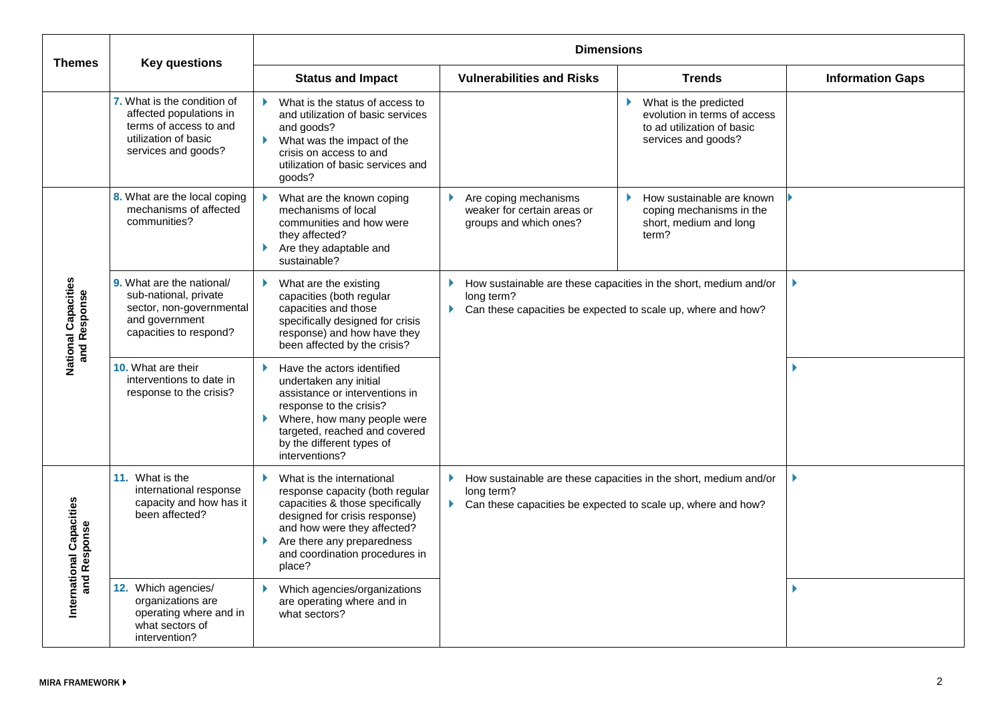| <b>Themes</b>                            | <b>Key questions</b>                                                                                                            | <b>Dimensions</b>                                                                                                                                                                                                                               |                                                                                                                                                                               |                                                                                                            |                         |
|------------------------------------------|---------------------------------------------------------------------------------------------------------------------------------|-------------------------------------------------------------------------------------------------------------------------------------------------------------------------------------------------------------------------------------------------|-------------------------------------------------------------------------------------------------------------------------------------------------------------------------------|------------------------------------------------------------------------------------------------------------|-------------------------|
|                                          |                                                                                                                                 | <b>Status and Impact</b>                                                                                                                                                                                                                        | <b>Vulnerabilities and Risks</b>                                                                                                                                              | <b>Trends</b>                                                                                              | <b>Information Gaps</b> |
|                                          | 7. What is the condition of<br>affected populations in<br>terms of access to and<br>utilization of basic<br>services and goods? | What is the status of access to<br>and utilization of basic services<br>and goods?<br>What was the impact of the<br>crisis on access to and<br>utilization of basic services and<br>qoods?                                                      |                                                                                                                                                                               | What is the predicted<br>evolution in terms of access<br>to ad utilization of basic<br>services and goods? |                         |
| National Capacities<br>and Response      | 8. What are the local coping<br>mechanisms of affected<br>communities?                                                          | What are the known coping<br>mechanisms of local<br>communities and how were<br>they affected?<br>Are they adaptable and<br>sustainable?                                                                                                        | Are coping mechanisms<br>weaker for certain areas or<br>groups and which ones?                                                                                                | How sustainable are known<br>coping mechanisms in the<br>short, medium and long<br>term?                   |                         |
|                                          | 9. What are the national/<br>sub-national, private<br>sector, non-governmental<br>and government<br>capacities to respond?      | What are the existing<br>capacities (both regular<br>capacities and those<br>specifically designed for crisis<br>response) and how have they<br>been affected by the crisis?                                                                    | How sustainable are these capacities in the short, medium and/or<br>long term?<br>Can these capacities be expected to scale up, where and how?<br>$\blacktriangleright$       |                                                                                                            |                         |
|                                          | 10. What are their<br>interventions to date in<br>response to the crisis?                                                       | Have the actors identified<br>undertaken any initial<br>assistance or interventions in<br>response to the crisis?<br>Where, how many people were<br>targeted, reached and covered<br>by the different types of<br>interventions?                |                                                                                                                                                                               |                                                                                                            |                         |
| International Capacities<br>and Response | 11. What is the<br>international response<br>capacity and how has it<br>been affected?                                          | What is the international<br>Þ.<br>response capacity (both regular<br>capacities & those specifically<br>designed for crisis response)<br>and how were they affected?<br>Are there any preparedness<br>and coordination procedures in<br>place? | How sustainable are these capacities in the short, medium and/or<br>Þ.<br>long term?<br>Can these capacities be expected to scale up, where and how?<br>$\blacktriangleright$ |                                                                                                            |                         |
|                                          | 12. Which agencies/<br>organizations are<br>operating where and in<br>what sectors of<br>intervention?                          | Which agencies/organizations<br>are operating where and in<br>what sectors?                                                                                                                                                                     |                                                                                                                                                                               |                                                                                                            |                         |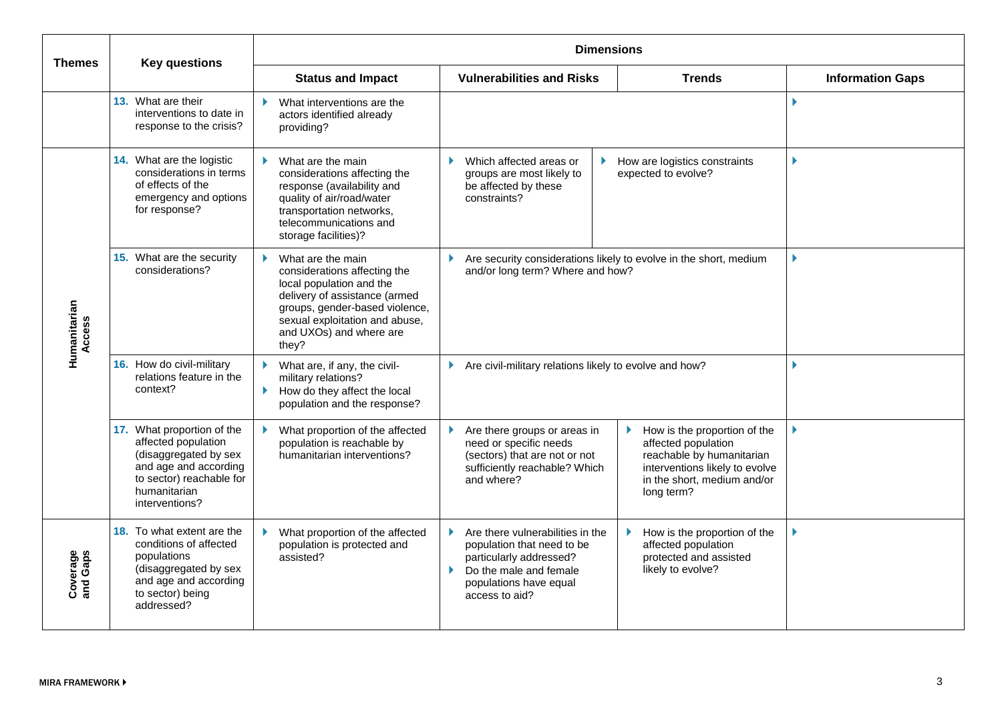| <b>Themes</b>          | <b>Key questions</b>                                                                                                                                              | <b>Dimensions</b>                                                                                                                                                                                                      |                                                                                                                                                                       |                                                                                                                                                                 |                         |
|------------------------|-------------------------------------------------------------------------------------------------------------------------------------------------------------------|------------------------------------------------------------------------------------------------------------------------------------------------------------------------------------------------------------------------|-----------------------------------------------------------------------------------------------------------------------------------------------------------------------|-----------------------------------------------------------------------------------------------------------------------------------------------------------------|-------------------------|
|                        |                                                                                                                                                                   | <b>Status and Impact</b>                                                                                                                                                                                               | <b>Vulnerabilities and Risks</b>                                                                                                                                      | <b>Trends</b>                                                                                                                                                   | <b>Information Gaps</b> |
|                        | 13. What are their<br>interventions to date in<br>response to the crisis?                                                                                         | What interventions are the<br>Ы<br>actors identified already<br>providing?                                                                                                                                             |                                                                                                                                                                       |                                                                                                                                                                 |                         |
| Humanitarian<br>Access | 14. What are the logistic<br>considerations in terms<br>of effects of the<br>emergency and options<br>for response?                                               | What are the main<br>considerations affecting the<br>response (availability and<br>quality of air/road/water<br>transportation networks,<br>telecommunications and<br>storage facilities)?                             | Which affected areas or<br>groups are most likely to<br>be affected by these<br>constraints?                                                                          | How are logistics constraints<br>expected to evolve?                                                                                                            |                         |
|                        | 15. What are the security<br>considerations?                                                                                                                      | What are the main<br>considerations affecting the<br>local population and the<br>delivery of assistance (armed<br>groups, gender-based violence,<br>sexual exploitation and abuse,<br>and UXOs) and where are<br>they? | Are security considerations likely to evolve in the short, medium<br>Þ.<br>and/or long term? Where and how?                                                           |                                                                                                                                                                 |                         |
|                        | 16. How do civil-military<br>relations feature in the<br>context?                                                                                                 | What are, if any, the civil-<br>Þ.<br>military relations?<br>Þ.<br>How do they affect the local<br>population and the response?                                                                                        | Are civil-military relations likely to evolve and how?<br>Þ.                                                                                                          |                                                                                                                                                                 |                         |
|                        | 17. What proportion of the<br>affected population<br>(disaggregated by sex<br>and age and according<br>to sector) reachable for<br>humanitarian<br>interventions? | What proportion of the affected<br>population is reachable by<br>humanitarian interventions?                                                                                                                           | Are there groups or areas in<br>need or specific needs<br>(sectors) that are not or not<br>sufficiently reachable? Which<br>and where?                                | How is the proportion of the<br>affected population<br>reachable by humanitarian<br>interventions likely to evolve<br>in the short, medium and/or<br>long term? |                         |
| Coverage<br>and Gaps   | 18. To what extent are the<br>conditions of affected<br>populations<br>(disaggregated by sex<br>and age and according<br>to sector) being<br>addressed?           | What proportion of the affected<br>population is protected and<br>assisted?                                                                                                                                            | ¥.<br>Are there vulnerabilities in the<br>population that need to be<br>particularly addressed?<br>Do the male and female<br>populations have equal<br>access to aid? | How is the proportion of the<br>affected population<br>protected and assisted<br>likely to evolve?                                                              |                         |